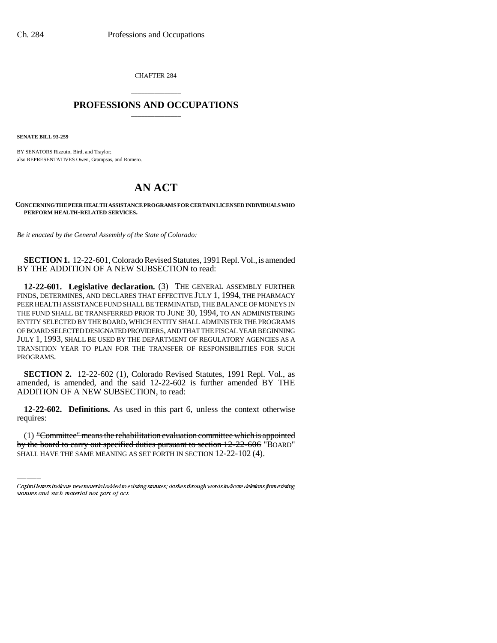CHAPTER 284

## \_\_\_\_\_\_\_\_\_\_\_\_\_\_\_ **PROFESSIONS AND OCCUPATIONS** \_\_\_\_\_\_\_\_\_\_\_\_\_\_\_

**SENATE BILL 93-259**

BY SENATORS Rizzuto, Bird, and Traylor; also REPRESENTATIVES Owen, Grampsas, and Romero.

## **AN ACT**

**CONCERNING THE PEER HEALTH ASSISTANCE PROGRAMS FOR CERTAIN LICENSED INDIVIDUALS WHO PERFORM HEALTH-RELATED SERVICES.**

*Be it enacted by the General Assembly of the State of Colorado:*

**SECTION 1.** 12-22-601, Colorado Revised Statutes, 1991 Repl. Vol., is amended BY THE ADDITION OF A NEW SUBSECTION to read:

**12-22-601. Legislative declaration.** (3) THE GENERAL ASSEMBLY FURTHER FINDS, DETERMINES, AND DECLARES THAT EFFECTIVE JULY 1, 1994, THE PHARMACY PEER HEALTH ASSISTANCE FUND SHALL BE TERMINATED, THE BALANCE OF MONEYS IN THE FUND SHALL BE TRANSFERRED PRIOR TO JUNE 30, 1994, TO AN ADMINISTERING ENTITY SELECTED BY THE BOARD, WHICH ENTITY SHALL ADMINISTER THE PROGRAMS OF BOARD SELECTED DESIGNATED PROVIDERS, AND THAT THE FISCAL YEAR BEGINNING JULY 1, 1993, SHALL BE USED BY THE DEPARTMENT OF REGULATORY AGENCIES AS A TRANSITION YEAR TO PLAN FOR THE TRANSFER OF RESPONSIBILITIES FOR SUCH PROGRAMS.

**SECTION 2.** 12-22-602 (1), Colorado Revised Statutes, 1991 Repl. Vol., as amended, is amended, and the said 12-22-602 is further amended BY THE ADDITION OF A NEW SUBSECTION, to read:

requires: **12-22-602. Definitions.** As used in this part 6, unless the context otherwise

(1) "Committee" means the rehabilitation evaluation committee which is appointed by the board to carry out specified duties pursuant to section 12-22-606 "BOARD" SHALL HAVE THE SAME MEANING AS SET FORTH IN SECTION 12-22-102 (4).

Capital letters indicate new material added to existing statutes; dashes through words indicate deletions from existing statutes and such material not part of act.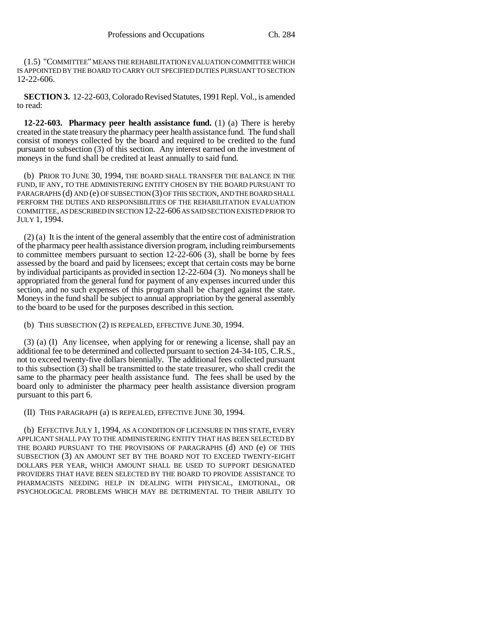(1.5) "COMMITTEE" MEANS THE REHABILITATION EVALUATION COMMITTEE WHICH IS APPOINTED BY THE BOARD TO CARRY OUT SPECIFIED DUTIES PURSUANT TO SECTION 12-22-606.

**SECTION 3.** 12-22-603, Colorado Revised Statutes, 1991 Repl. Vol., is amended to read:

**12-22-603. Pharmacy peer health assistance fund.** (1) (a) There is hereby created in the state treasury the pharmacy peer health assistance fund. The fund shall consist of moneys collected by the board and required to be credited to the fund pursuant to subsection (3) of this section. Any interest earned on the investment of moneys in the fund shall be credited at least annually to said fund.

(b) PRIOR TO JUNE 30, 1994, THE BOARD SHALL TRANSFER THE BALANCE IN THE FUND, IF ANY, TO THE ADMINISTERING ENTITY CHOSEN BY THE BOARD PURSUANT TO PARAGRAPHS (d) AND (e) OF SUBSECTION (3) OF THIS SECTION, AND THE BOARD SHALL PERFORM THE DUTIES AND RESPONSIBILITIES OF THE REHABILITATION EVALUATION COMMITTEE, AS DESCRIBED IN SECTION 12-22-606 AS SAID SECTION EXISTED PRIOR TO JULY 1, 1994.

(2) (a) It is the intent of the general assembly that the entire cost of administration of the pharmacy peer health assistance diversion program, including reimbursements to committee members pursuant to section 12-22-606 (3), shall be borne by fees assessed by the board and paid by licensees; except that certain costs may be borne by individual participants as provided in section 12-22-604 (3). No moneys shall be appropriated from the general fund for payment of any expenses incurred under this section, and no such expenses of this program shall be charged against the state. Moneys in the fund shall be subject to annual appropriation by the general assembly to the board to be used for the purposes described in this section.

(b) THIS SUBSECTION (2) IS REPEALED, EFFECTIVE JUNE 30, 1994.

(3) (a) (I) Any licensee, when applying for or renewing a license, shall pay an additional fee to be determined and collected pursuant to section 24-34-105, C.R.S., not to exceed twenty-five dollars biennially. The additional fees collected pursuant to this subsection (3) shall be transmitted to the state treasurer, who shall credit the same to the pharmacy peer health assistance fund. The fees shall be used by the board only to administer the pharmacy peer health assistance diversion program pursuant to this part 6.

(II) THIS PARAGRAPH (a) IS REPEALED, EFFECTIVE JUNE 30, 1994.

(b) EFFECTIVE JULY 1, 1994, AS A CONDITION OF LICENSURE IN THIS STATE, EVERY APPLICANT SHALL PAY TO THE ADMINISTERING ENTITY THAT HAS BEEN SELECTED BY THE BOARD PURSUANT TO THE PROVISIONS OF PARAGRAPHS (d) AND (e) OF THIS SUBSECTION (3) AN AMOUNT SET BY THE BOARD NOT TO EXCEED TWENTY-EIGHT DOLLARS PER YEAR, WHICH AMOUNT SHALL BE USED TO SUPPORT DESIGNATED PROVIDERS THAT HAVE BEEN SELECTED BY THE BOARD TO PROVIDE ASSISTANCE TO PHARMACISTS NEEDING HELP IN DEALING WITH PHYSICAL, EMOTIONAL, OR PSYCHOLOGICAL PROBLEMS WHICH MAY BE DETRIMENTAL TO THEIR ABILITY TO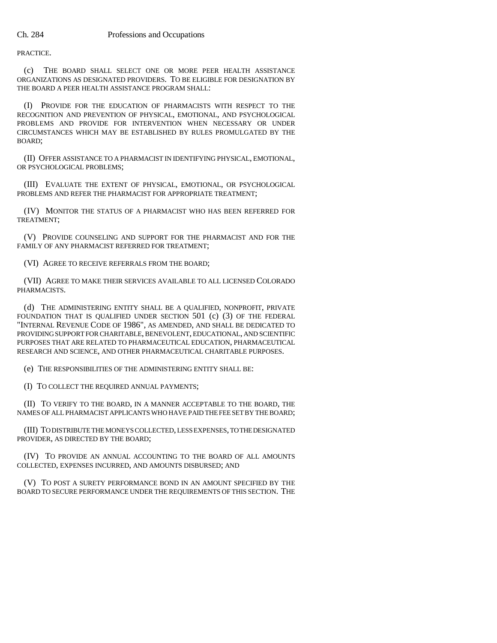PRACTICE.

(c) THE BOARD SHALL SELECT ONE OR MORE PEER HEALTH ASSISTANCE ORGANIZATIONS AS DESIGNATED PROVIDERS. TO BE ELIGIBLE FOR DESIGNATION BY THE BOARD A PEER HEALTH ASSISTANCE PROGRAM SHALL:

(I) PROVIDE FOR THE EDUCATION OF PHARMACISTS WITH RESPECT TO THE RECOGNITION AND PREVENTION OF PHYSICAL, EMOTIONAL, AND PSYCHOLOGICAL PROBLEMS AND PROVIDE FOR INTERVENTION WHEN NECESSARY OR UNDER CIRCUMSTANCES WHICH MAY BE ESTABLISHED BY RULES PROMULGATED BY THE BOARD;

(II) OFFER ASSISTANCE TO A PHARMACIST IN IDENTIFYING PHYSICAL, EMOTIONAL, OR PSYCHOLOGICAL PROBLEMS;

(III) EVALUATE THE EXTENT OF PHYSICAL, EMOTIONAL, OR PSYCHOLOGICAL PROBLEMS AND REFER THE PHARMACIST FOR APPROPRIATE TREATMENT;

(IV) MONITOR THE STATUS OF A PHARMACIST WHO HAS BEEN REFERRED FOR TREATMENT;

(V) PROVIDE COUNSELING AND SUPPORT FOR THE PHARMACIST AND FOR THE FAMILY OF ANY PHARMACIST REFERRED FOR TREATMENT;

(VI) AGREE TO RECEIVE REFERRALS FROM THE BOARD;

(VII) AGREE TO MAKE THEIR SERVICES AVAILABLE TO ALL LICENSED COLORADO PHARMACISTS.

(d) THE ADMINISTERING ENTITY SHALL BE A QUALIFIED, NONPROFIT, PRIVATE FOUNDATION THAT IS QUALIFIED UNDER SECTION 501 (c) (3) OF THE FEDERAL "INTERNAL REVENUE CODE OF 1986", AS AMENDED, AND SHALL BE DEDICATED TO PROVIDING SUPPORT FOR CHARITABLE, BENEVOLENT, EDUCATIONAL, AND SCIENTIFIC PURPOSES THAT ARE RELATED TO PHARMACEUTICAL EDUCATION, PHARMACEUTICAL RESEARCH AND SCIENCE, AND OTHER PHARMACEUTICAL CHARITABLE PURPOSES.

(e) THE RESPONSIBILITIES OF THE ADMINISTERING ENTITY SHALL BE:

(I) TO COLLECT THE REQUIRED ANNUAL PAYMENTS;

(II) TO VERIFY TO THE BOARD, IN A MANNER ACCEPTABLE TO THE BOARD, THE NAMES OF ALL PHARMACIST APPLICANTS WHO HAVE PAID THE FEE SET BY THE BOARD;

(III) TO DISTRIBUTE THE MONEYS COLLECTED, LESS EXPENSES, TO THE DESIGNATED PROVIDER, AS DIRECTED BY THE BOARD;

(IV) TO PROVIDE AN ANNUAL ACCOUNTING TO THE BOARD OF ALL AMOUNTS COLLECTED, EXPENSES INCURRED, AND AMOUNTS DISBURSED; AND

(V) TO POST A SURETY PERFORMANCE BOND IN AN AMOUNT SPECIFIED BY THE BOARD TO SECURE PERFORMANCE UNDER THE REQUIREMENTS OF THIS SECTION. THE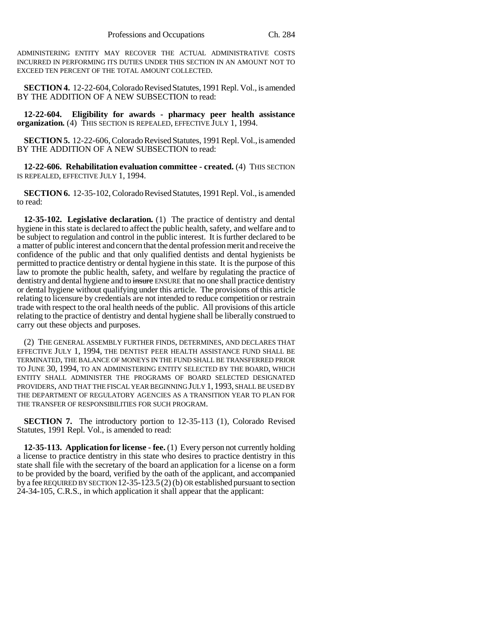ADMINISTERING ENTITY MAY RECOVER THE ACTUAL ADMINISTRATIVE COSTS INCURRED IN PERFORMING ITS DUTIES UNDER THIS SECTION IN AN AMOUNT NOT TO EXCEED TEN PERCENT OF THE TOTAL AMOUNT COLLECTED.

**SECTION 4.** 12-22-604, Colorado Revised Statutes, 1991 Repl. Vol., is amended BY THE ADDITION OF A NEW SUBSECTION to read:

**12-22-604. Eligibility for awards - pharmacy peer health assistance organization.** (4) THIS SECTION IS REPEALED, EFFECTIVE JULY 1, 1994.

**SECTION 5.** 12-22-606, Colorado Revised Statutes, 1991 Repl. Vol., is amended BY THE ADDITION OF A NEW SUBSECTION to read:

**12-22-606. Rehabilitation evaluation committee - created.** (4) THIS SECTION IS REPEALED, EFFECTIVE JULY 1, 1994.

**SECTION 6.** 12-35-102, Colorado Revised Statutes, 1991 Repl. Vol., is amended to read:

**12-35-102. Legislative declaration.** (1) The practice of dentistry and dental hygiene in this state is declared to affect the public health, safety, and welfare and to be subject to regulation and control in the public interest. It is further declared to be a matter of public interest and concern that the dental profession merit and receive the confidence of the public and that only qualified dentists and dental hygienists be permitted to practice dentistry or dental hygiene in this state. It is the purpose of this law to promote the public health, safety, and welfare by regulating the practice of dentistry and dental hygiene and to insure ENSURE that no one shall practice dentistry or dental hygiene without qualifying under this article. The provisions of this article relating to licensure by credentials are not intended to reduce competition or restrain trade with respect to the oral health needs of the public. All provisions of this article relating to the practice of dentistry and dental hygiene shall be liberally construed to carry out these objects and purposes.

(2) THE GENERAL ASSEMBLY FURTHER FINDS, DETERMINES, AND DECLARES THAT EFFECTIVE JULY 1, 1994, THE DENTIST PEER HEALTH ASSISTANCE FUND SHALL BE TERMINATED, THE BALANCE OF MONEYS IN THE FUND SHALL BE TRANSFERRED PRIOR TO JUNE 30, 1994, TO AN ADMINISTERING ENTITY SELECTED BY THE BOARD, WHICH ENTITY SHALL ADMINISTER THE PROGRAMS OF BOARD SELECTED DESIGNATED PROVIDERS, AND THAT THE FISCAL YEAR BEGINNING JULY 1, 1993, SHALL BE USED BY THE DEPARTMENT OF REGULATORY AGENCIES AS A TRANSITION YEAR TO PLAN FOR THE TRANSFER OF RESPONSIBILITIES FOR SUCH PROGRAM.

**SECTION 7.** The introductory portion to 12-35-113 (1), Colorado Revised Statutes, 1991 Repl. Vol., is amended to read:

**12-35-113. Application for license - fee.** (1) Every person not currently holding a license to practice dentistry in this state who desires to practice dentistry in this state shall file with the secretary of the board an application for a license on a form to be provided by the board, verified by the oath of the applicant, and accompanied by a fee REQUIRED BY SECTION 12-35-123.5(2) (b) OR established pursuant to section 24-34-105, C.R.S., in which application it shall appear that the applicant: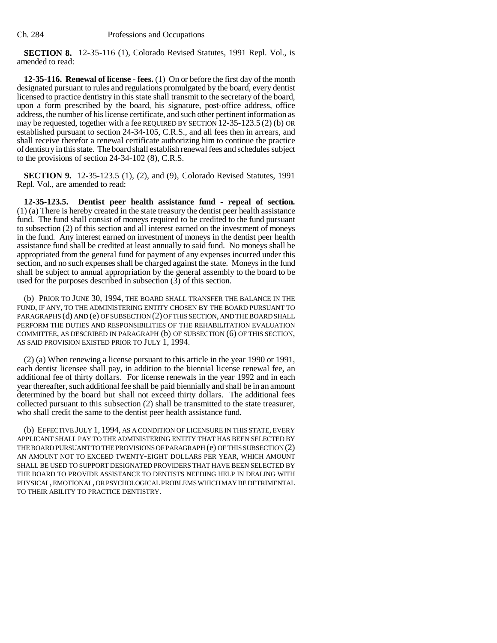**SECTION 8.** 12-35-116 (1), Colorado Revised Statutes, 1991 Repl. Vol., is amended to read:

**12-35-116. Renewal of license - fees.** (1) On or before the first day of the month designated pursuant to rules and regulations promulgated by the board, every dentist licensed to practice dentistry in this state shall transmit to the secretary of the board, upon a form prescribed by the board, his signature, post-office address, office address, the number of his license certificate, and such other pertinent information as may be requested, together with a fee REQUIRED BY SECTION 12-35-123.5 (2) (b) OR established pursuant to section 24-34-105, C.R.S., and all fees then in arrears, and shall receive therefor a renewal certificate authorizing him to continue the practice of dentistry in this state. The board shall establish renewal fees and schedules subject to the provisions of section 24-34-102 (8), C.R.S.

**SECTION 9.** 12-35-123.5 (1), (2), and (9), Colorado Revised Statutes, 1991 Repl. Vol., are amended to read:

**12-35-123.5. Dentist peer health assistance fund - repeal of section.** (1) (a) There is hereby created in the state treasury the dentist peer health assistance fund. The fund shall consist of moneys required to be credited to the fund pursuant to subsection (2) of this section and all interest earned on the investment of moneys in the fund. Any interest earned on investment of moneys in the dentist peer health assistance fund shall be credited at least annually to said fund. No moneys shall be appropriated from the general fund for payment of any expenses incurred under this section, and no such expenses shall be charged against the state. Moneys in the fund shall be subject to annual appropriation by the general assembly to the board to be used for the purposes described in subsection  $(3)$  of this section.

(b) PRIOR TO JUNE 30, 1994, THE BOARD SHALL TRANSFER THE BALANCE IN THE FUND, IF ANY, TO THE ADMINISTERING ENTITY CHOSEN BY THE BOARD PURSUANT TO PARAGRAPHS (d) AND (e) OF SUBSECTION (2) OF THIS SECTION, AND THE BOARD SHALL PERFORM THE DUTIES AND RESPONSIBILITIES OF THE REHABILITATION EVALUATION COMMITTEE, AS DESCRIBED IN PARAGRAPH (b) OF SUBSECTION (6) OF THIS SECTION, AS SAID PROVISION EXISTED PRIOR TO JULY 1, 1994.

(2) (a) When renewing a license pursuant to this article in the year 1990 or 1991, each dentist licensee shall pay, in addition to the biennial license renewal fee, an additional fee of thirty dollars. For license renewals in the year 1992 and in each year thereafter, such additional fee shall be paid biennially and shall be in an amount determined by the board but shall not exceed thirty dollars. The additional fees collected pursuant to this subsection (2) shall be transmitted to the state treasurer, who shall credit the same to the dentist peer health assistance fund.

(b) EFFECTIVE JULY 1, 1994, AS A CONDITION OF LICENSURE IN THIS STATE, EVERY APPLICANT SHALL PAY TO THE ADMINISTERING ENTITY THAT HAS BEEN SELECTED BY THE BOARD PURSUANT TO THE PROVISIONS OF PARAGRAPH (e) OF THIS SUBSECTION (2) AN AMOUNT NOT TO EXCEED TWENTY-EIGHT DOLLARS PER YEAR, WHICH AMOUNT SHALL BE USED TO SUPPORT DESIGNATED PROVIDERS THAT HAVE BEEN SELECTED BY THE BOARD TO PROVIDE ASSISTANCE TO DENTISTS NEEDING HELP IN DEALING WITH PHYSICAL, EMOTIONAL, OR PSYCHOLOGICAL PROBLEMS WHICH MAY BE DETRIMENTAL TO THEIR ABILITY TO PRACTICE DENTISTRY.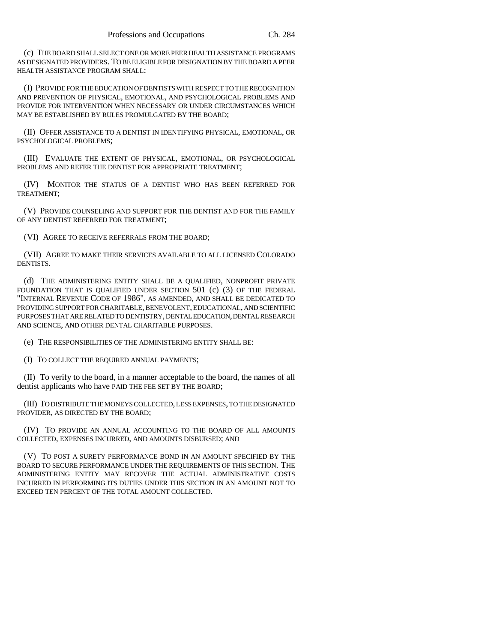(c) THE BOARD SHALL SELECT ONE OR MORE PEER HEALTH ASSISTANCE PROGRAMS AS DESIGNATED PROVIDERS. TO BE ELIGIBLE FOR DESIGNATION BY THE BOARD A PEER HEALTH ASSISTANCE PROGRAM SHALL:

(I) PROVIDE FOR THE EDUCATION OF DENTISTS WITH RESPECT TO THE RECOGNITION AND PREVENTION OF PHYSICAL, EMOTIONAL, AND PSYCHOLOGICAL PROBLEMS AND PROVIDE FOR INTERVENTION WHEN NECESSARY OR UNDER CIRCUMSTANCES WHICH MAY BE ESTABLISHED BY RULES PROMULGATED BY THE BOARD;

(II) OFFER ASSISTANCE TO A DENTIST IN IDENTIFYING PHYSICAL, EMOTIONAL, OR PSYCHOLOGICAL PROBLEMS;

(III) EVALUATE THE EXTENT OF PHYSICAL, EMOTIONAL, OR PSYCHOLOGICAL PROBLEMS AND REFER THE DENTIST FOR APPROPRIATE TREATMENT;

(IV) MONITOR THE STATUS OF A DENTIST WHO HAS BEEN REFERRED FOR TREATMENT;

(V) PROVIDE COUNSELING AND SUPPORT FOR THE DENTIST AND FOR THE FAMILY OF ANY DENTIST REFERRED FOR TREATMENT;

(VI) AGREE TO RECEIVE REFERRALS FROM THE BOARD;

(VII) AGREE TO MAKE THEIR SERVICES AVAILABLE TO ALL LICENSED COLORADO DENTISTS.

(d) THE ADMINISTERING ENTITY SHALL BE A QUALIFIED, NONPROFIT PRIVATE FOUNDATION THAT IS QUALIFIED UNDER SECTION 501 (c) (3) OF THE FEDERAL "INTERNAL REVENUE CODE OF 1986", AS AMENDED, AND SHALL BE DEDICATED TO PROVIDING SUPPORT FOR CHARITABLE, BENEVOLENT, EDUCATIONAL, AND SCIENTIFIC PURPOSES THAT ARE RELATED TO DENTISTRY, DENTAL EDUCATION, DENTAL RESEARCH AND SCIENCE, AND OTHER DENTAL CHARITABLE PURPOSES.

(e) THE RESPONSIBILITIES OF THE ADMINISTERING ENTITY SHALL BE:

(I) TO COLLECT THE REQUIRED ANNUAL PAYMENTS;

(II) To verify to the board, in a manner acceptable to the board, the names of all dentist applicants who have PAID THE FEE SET BY THE BOARD;

(III) TO DISTRIBUTE THE MONEYS COLLECTED, LESS EXPENSES, TO THE DESIGNATED PROVIDER, AS DIRECTED BY THE BOARD;

(IV) TO PROVIDE AN ANNUAL ACCOUNTING TO THE BOARD OF ALL AMOUNTS COLLECTED, EXPENSES INCURRED, AND AMOUNTS DISBURSED; AND

(V) TO POST A SURETY PERFORMANCE BOND IN AN AMOUNT SPECIFIED BY THE BOARD TO SECURE PERFORMANCE UNDER THE REQUIREMENTS OF THIS SECTION. THE ADMINISTERING ENTITY MAY RECOVER THE ACTUAL ADMINISTRATIVE COSTS INCURRED IN PERFORMING ITS DUTIES UNDER THIS SECTION IN AN AMOUNT NOT TO EXCEED TEN PERCENT OF THE TOTAL AMOUNT COLLECTED.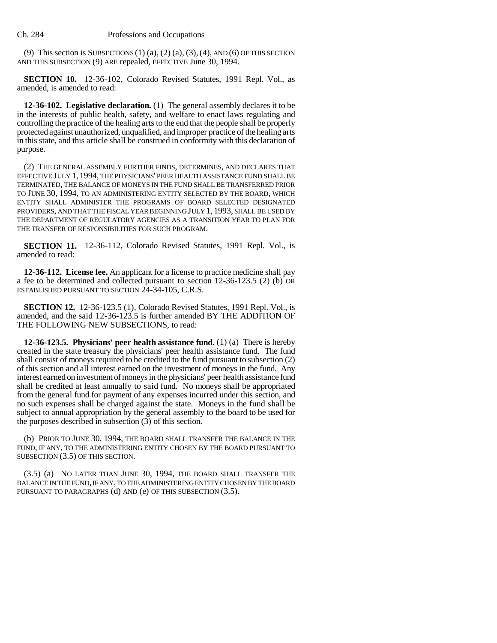(9) This section is SUBSECTIONS  $(1)$   $(a)$ ,  $(2)$   $(a)$ ,  $(3)$ ,  $(4)$ , AND  $(6)$  OF THIS SECTION AND THIS SUBSECTION (9) ARE repealed, EFFECTIVE June 30, 1994.

**SECTION 10.** 12-36-102, Colorado Revised Statutes, 1991 Repl. Vol., as amended, is amended to read:

**12-36-102. Legislative declaration.** (1) The general assembly declares it to be in the interests of public health, safety, and welfare to enact laws regulating and controlling the practice of the healing arts to the end that the people shall be properly protected against unauthorized, unqualified, and improper practice of the healing arts in this state, and this article shall be construed in conformity with this declaration of purpose.

(2) THE GENERAL ASSEMBLY FURTHER FINDS, DETERMINES, AND DECLARES THAT EFFECTIVE JULY 1, 1994, THE PHYSICIANS' PEER HEALTH ASSISTANCE FUND SHALL BE TERMINATED, THE BALANCE OF MONEYS IN THE FUND SHALL BE TRANSFERRED PRIOR TO JUNE 30, 1994, TO AN ADMINISTERING ENTITY SELECTED BY THE BOARD, WHICH ENTITY SHALL ADMINISTER THE PROGRAMS OF BOARD SELECTED DESIGNATED PROVIDERS, AND THAT THE FISCAL YEAR BEGINNING JULY 1, 1993, SHALL BE USED BY THE DEPARTMENT OF REGULATORY AGENCIES AS A TRANSITION YEAR TO PLAN FOR THE TRANSFER OF RESPONSIBILITIES FOR SUCH PROGRAM.

**SECTION 11.** 12-36-112, Colorado Revised Statutes, 1991 Repl. Vol., is amended to read:

**12-36-112. License fee.** An applicant for a license to practice medicine shall pay a fee to be determined and collected pursuant to section 12-36-123.5 (2) (b) OR ESTABLISHED PURSUANT TO SECTION 24-34-105, C.R.S.

**SECTION 12.** 12-36-123.5 (1), Colorado Revised Statutes, 1991 Repl. Vol., is amended, and the said 12-36-123.5 is further amended BY THE ADDITION OF THE FOLLOWING NEW SUBSECTIONS, to read:

**12-36-123.5. Physicians' peer health assistance fund.** (1) (a) There is hereby created in the state treasury the physicians' peer health assistance fund. The fund shall consist of moneys required to be credited to the fund pursuant to subsection (2) of this section and all interest earned on the investment of moneys in the fund. Any interest earned on investment of moneys in the physicians' peer health assistance fund shall be credited at least annually to said fund. No moneys shall be appropriated from the general fund for payment of any expenses incurred under this section, and no such expenses shall be charged against the state. Moneys in the fund shall be subject to annual appropriation by the general assembly to the board to be used for the purposes described in subsection  $(3)$  of this section.

(b) PRIOR TO JUNE 30, 1994, THE BOARD SHALL TRANSFER THE BALANCE IN THE FUND, IF ANY, TO THE ADMINISTERING ENTITY CHOSEN BY THE BOARD PURSUANT TO SUBSECTION (3.5) OF THIS SECTION.

(3.5) (a) NO LATER THAN JUNE 30, 1994, THE BOARD SHALL TRANSFER THE BALANCE IN THE FUND, IF ANY, TO THE ADMINISTERING ENTITY CHOSEN BY THE BOARD PURSUANT TO PARAGRAPHS (d) AND (e) OF THIS SUBSECTION (3.5).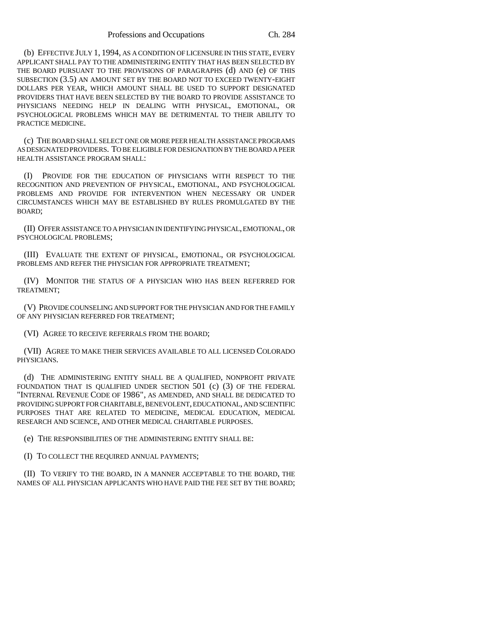(b) EFFECTIVE JULY 1, 1994, AS A CONDITION OF LICENSURE IN THIS STATE, EVERY APPLICANT SHALL PAY TO THE ADMINISTERING ENTITY THAT HAS BEEN SELECTED BY THE BOARD PURSUANT TO THE PROVISIONS OF PARAGRAPHS (d) AND (e) OF THIS SUBSECTION (3.5) AN AMOUNT SET BY THE BOARD NOT TO EXCEED TWENTY-EIGHT DOLLARS PER YEAR, WHICH AMOUNT SHALL BE USED TO SUPPORT DESIGNATED PROVIDERS THAT HAVE BEEN SELECTED BY THE BOARD TO PROVIDE ASSISTANCE TO PHYSICIANS NEEDING HELP IN DEALING WITH PHYSICAL, EMOTIONAL, OR PSYCHOLOGICAL PROBLEMS WHICH MAY BE DETRIMENTAL TO THEIR ABILITY TO PRACTICE MEDICINE.

(c) THE BOARD SHALL SELECT ONE OR MORE PEER HEALTH ASSISTANCE PROGRAMS AS DESIGNATED PROVIDERS. TO BE ELIGIBLE FOR DESIGNATION BY THE BOARD A PEER HEALTH ASSISTANCE PROGRAM SHALL:

(I) PROVIDE FOR THE EDUCATION OF PHYSICIANS WITH RESPECT TO THE RECOGNITION AND PREVENTION OF PHYSICAL, EMOTIONAL, AND PSYCHOLOGICAL PROBLEMS AND PROVIDE FOR INTERVENTION WHEN NECESSARY OR UNDER CIRCUMSTANCES WHICH MAY BE ESTABLISHED BY RULES PROMULGATED BY THE BOARD;

(II) OFFER ASSISTANCE TO A PHYSICIAN IN IDENTIFYING PHYSICAL, EMOTIONAL, OR PSYCHOLOGICAL PROBLEMS;

(III) EVALUATE THE EXTENT OF PHYSICAL, EMOTIONAL, OR PSYCHOLOGICAL PROBLEMS AND REFER THE PHYSICIAN FOR APPROPRIATE TREATMENT;

(IV) MONITOR THE STATUS OF A PHYSICIAN WHO HAS BEEN REFERRED FOR TREATMENT;

(V) PROVIDE COUNSELING AND SUPPORT FOR THE PHYSICIAN AND FOR THE FAMILY OF ANY PHYSICIAN REFERRED FOR TREATMENT;

(VI) AGREE TO RECEIVE REFERRALS FROM THE BOARD;

(VII) AGREE TO MAKE THEIR SERVICES AVAILABLE TO ALL LICENSED COLORADO PHYSICIANS.

(d) THE ADMINISTERING ENTITY SHALL BE A QUALIFIED, NONPROFIT PRIVATE FOUNDATION THAT IS QUALIFIED UNDER SECTION 501 (c) (3) OF THE FEDERAL "INTERNAL REVENUE CODE OF 1986", AS AMENDED, AND SHALL BE DEDICATED TO PROVIDING SUPPORT FOR CHARITABLE, BENEVOLENT, EDUCATIONAL, AND SCIENTIFIC PURPOSES THAT ARE RELATED TO MEDICINE, MEDICAL EDUCATION, MEDICAL RESEARCH AND SCIENCE, AND OTHER MEDICAL CHARITABLE PURPOSES.

(e) THE RESPONSIBILITIES OF THE ADMINISTERING ENTITY SHALL BE:

(I) TO COLLECT THE REQUIRED ANNUAL PAYMENTS;

(II) TO VERIFY TO THE BOARD, IN A MANNER ACCEPTABLE TO THE BOARD, THE NAMES OF ALL PHYSICIAN APPLICANTS WHO HAVE PAID THE FEE SET BY THE BOARD;